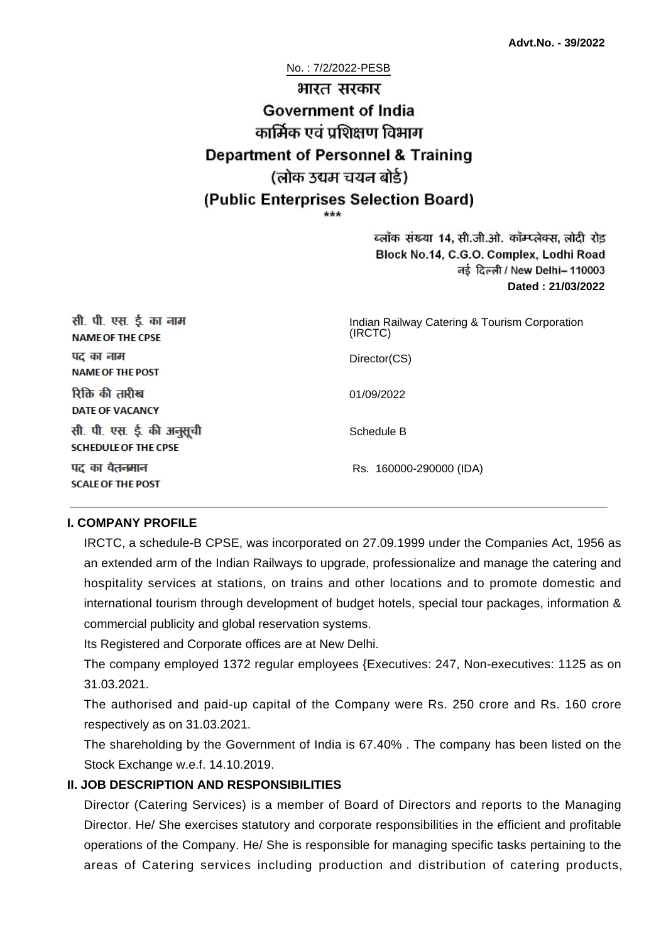# No. : 7/2/2022-PESB भारत सरकार **Government of India** कार्मिक एवं पशिक्षण विभाग **Department of Personnel & Training** (लोक उद्यम चयन बोर्ड) (Public Enterprises Selection Board)

ब्लॉक संख्या 14, सी.जी.ओ. कॉम्प्लेक्स, लोदी रोड Block No.14, C.G.O. Complex, Lodhi Road ਰई दिल्ली / New Delhi– 110003 **Dated : 21/03/2022**

| सी. पी. एस. ई. का नाम<br><b>NAME OF THE CPSE</b>         | Indian Railway Catering & Tourism Corporation<br>(IRCTC) |
|----------------------------------------------------------|----------------------------------------------------------|
| पद का नाम<br><b>NAME OF THE POST</b>                     | Director(CS)                                             |
| रिक्ति की तारीख<br><b>DATE OF VACANCY</b>                | 01/09/2022                                               |
| सी. पी. एस. ई. की अनुसूची<br><b>SCHEDULE OF THE CPSE</b> | Schedule B                                               |
| पद का वेतनमान<br><b>SCALE OF THE POST</b>                | Rs. 160000-290000 (IDA)                                  |

#### **I. COMPANY PROFILE**

IRCTC, a schedule-B CPSE, was incorporated on 27.09.1999 under the Companies Act, 1956 as an extended arm of the Indian Railways to upgrade, professionalize and manage the catering and hospitality services at stations, on trains and other locations and to promote domestic and international tourism through development of budget hotels, special tour packages, information & commercial publicity and global reservation systems.

Its Registered and Corporate offices are at New Delhi.

The company employed 1372 regular employees {Executives: 247, Non-executives: 1125 as on 31.03.2021.

The authorised and paid-up capital of the Company were Rs. 250 crore and Rs. 160 crore respectively as on 31.03.2021.

The shareholding by the Government of India is 67.40% . The company has been listed on the Stock Exchange w.e.f. 14.10.2019.

#### **II. JOB DESCRIPTION AND RESPONSIBILITIES**

Director (Catering Services) is a member of Board of Directors and reports to the Managing Director. He/ She exercises statutory and corporate responsibilities in the efficient and profitable operations of the Company. He/ She is responsible for managing specific tasks pertaining to the areas of Catering services including production and distribution of catering products,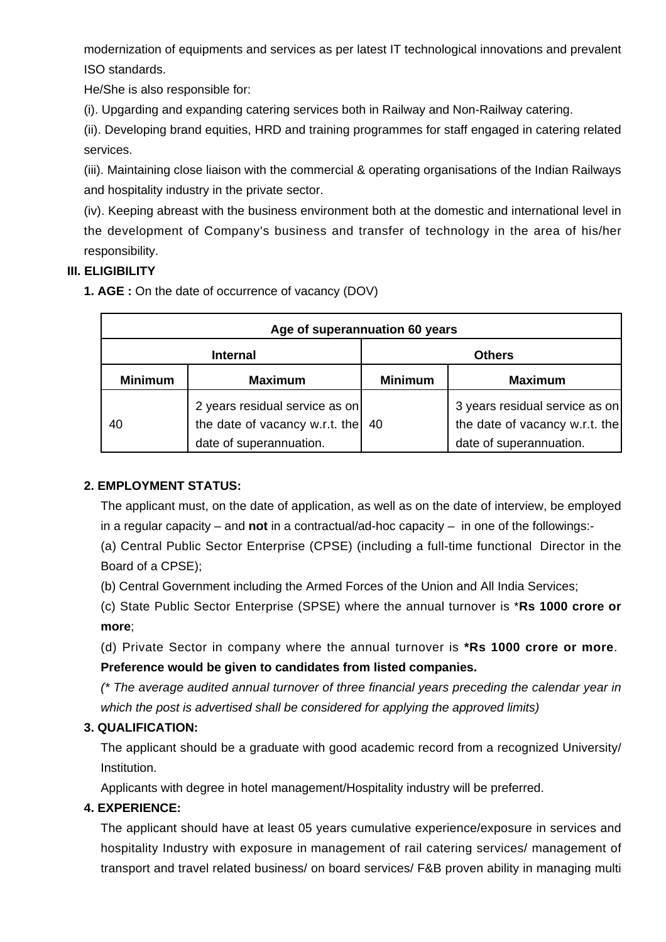modernization of equipments and services as per latest IT technological innovations and prevalent ISO standards.

He/She is also responsible for:

(i). Upgarding and expanding catering services both in Railway and Non-Railway catering.

(ii). Developing brand equities, HRD and training programmes for staff engaged in catering related services.

(iii). Maintaining close liaison with the commercial & operating organisations of the Indian Railways and hospitality industry in the private sector.

(iv). Keeping abreast with the business environment both at the domestic and international level in the development of Company's business and transfer of technology in the area of his/her responsibility.

## **III. ELIGIBILITY**

**1. AGE :** On the date of occurrence of vacancy (DOV)

| Age of superannuation 60 years |                                                                                             |                |                                                                                             |  |
|--------------------------------|---------------------------------------------------------------------------------------------|----------------|---------------------------------------------------------------------------------------------|--|
| <b>Internal</b>                |                                                                                             | <b>Others</b>  |                                                                                             |  |
| <b>Minimum</b>                 | <b>Maximum</b>                                                                              | <b>Minimum</b> | <b>Maximum</b>                                                                              |  |
| 40                             | 2 years residual service as on<br>the date of vacancy w.r.t. the<br>date of superannuation. | 40             | 3 years residual service as on<br>the date of vacancy w.r.t. the<br>date of superannuation. |  |

## **2. EMPLOYMENT STATUS:**

The applicant must, on the date of application, as well as on the date of interview, be employed in a regular capacity – and **not** in a contractual/ad-hoc capacity – in one of the followings:-

(a) Central Public Sector Enterprise (CPSE) (including a full-time functional Director in the Board of a CPSE);

(b) Central Government including the Armed Forces of the Union and All India Services;

(c) State Public Sector Enterprise (SPSE) where the annual turnover is \***Rs 1000 crore or more**;

(d) Private Sector in company where the annual turnover is **\*Rs 1000 crore or more**. **Preference would be given to candidates from listed companies.**

(\* The average audited annual turnover of three financial years preceding the calendar year in which the post is advertised shall be considered for applying the approved limits)

## **3. QUALIFICATION:**

The applicant should be a graduate with good academic record from a recognized University/ Institution.

Applicants with degree in hotel management/Hospitality industry will be preferred.

## **4. EXPERIENCE:**

The applicant should have at least 05 years cumulative experience/exposure in services and hospitality Industry with exposure in management of rail catering services/ management of transport and travel related business/ on board services/ F&B proven ability in managing multi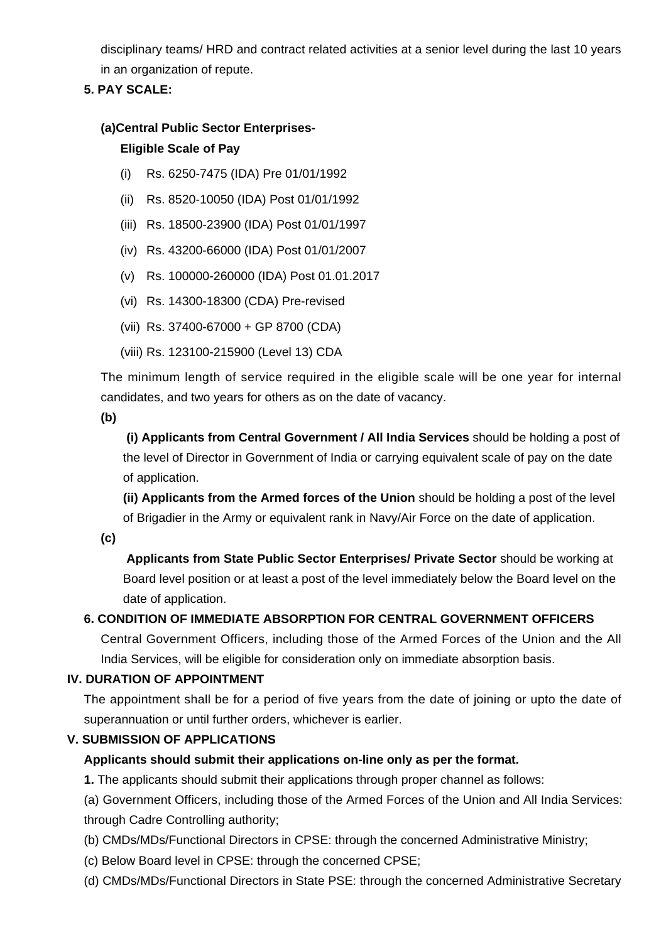disciplinary teams/ HRD and contract related activities at a senior level during the last 10 years in an organization of repute.

#### **5. PAY SCALE:**

#### **(a)Central Public Sector Enterprises-**

#### **Eligible Scale of Pay**

- (i) Rs. 6250-7475 (IDA) Pre 01/01/1992
- (ii) Rs. 8520-10050 (IDA) Post 01/01/1992
- (iii) Rs. 18500-23900 (IDA) Post 01/01/1997
- (iv) Rs. 43200-66000 (IDA) Post 01/01/2007
- (v) Rs. 100000-260000 (IDA) Post 01.01.2017
- (vi) Rs. 14300-18300 (CDA) Pre-revised
- (vii) Rs. 37400-67000 + GP 8700 (CDA)
- (viii) Rs. 123100-215900 (Level 13) CDA

The minimum length of service required in the eligible scale will be one year for internal candidates, and two years for others as on the date of vacancy.

**(b)**

**(i) Applicants from Central Government / All India Services** should be holding a post of the level of Director in Government of India or carrying equivalent scale of pay on the date of application.

**(ii) Applicants from the Armed forces of the Union** should be holding a post of the level of Brigadier in the Army or equivalent rank in Navy/Air Force on the date of application.

**(c)**

 **Applicants from State Public Sector Enterprises/ Private Sector** should be working at Board level position or at least a post of the level immediately below the Board level on the date of application.

## **6. CONDITION OF IMMEDIATE ABSORPTION FOR CENTRAL GOVERNMENT OFFICERS**

Central Government Officers, including those of the Armed Forces of the Union and the All India Services, will be eligible for consideration only on immediate absorption basis.

## **IV. DURATION OF APPOINTMENT**

The appointment shall be for a period of five years from the date of joining or upto the date of superannuation or until further orders, whichever is earlier.

## **V. SUBMISSION OF APPLICATIONS**

## **Applicants should submit their applications on-line only as per the format.**

**1.** The applicants should submit their applications through proper channel as follows:

(a) Government Officers, including those of the Armed Forces of the Union and All India Services: through Cadre Controlling authority;

- (b) CMDs/MDs/Functional Directors in CPSE: through the concerned Administrative Ministry;
- (c) Below Board level in CPSE: through the concerned CPSE;
- (d) CMDs/MDs/Functional Directors in State PSE: through the concerned Administrative Secretary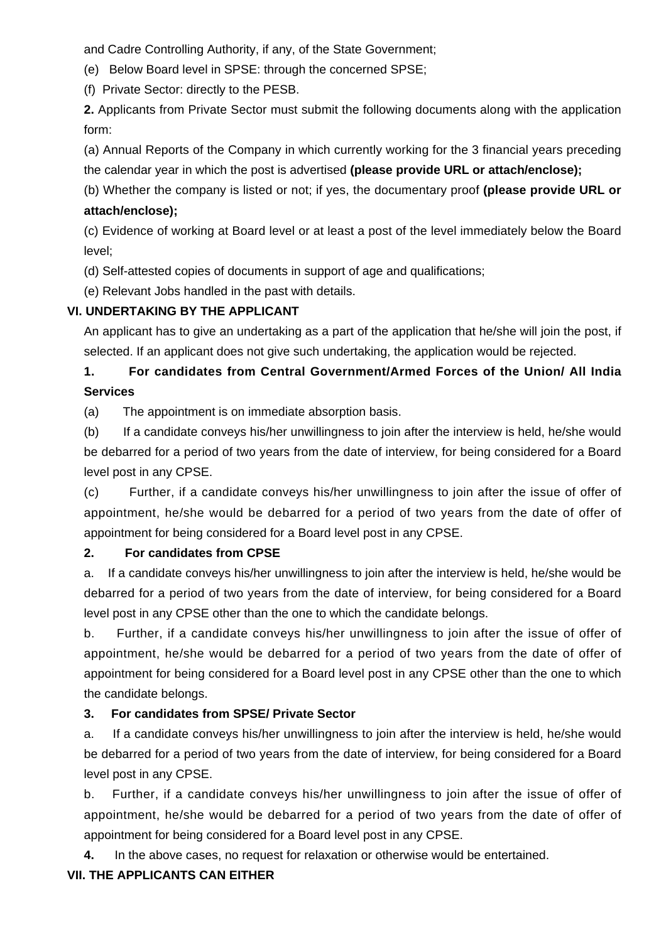and Cadre Controlling Authority, if any, of the State Government;

(e) Below Board level in SPSE: through the concerned SPSE;

(f) Private Sector: directly to the PESB.

**2.** Applicants from Private Sector must submit the following documents along with the application form:

(a) Annual Reports of the Company in which currently working for the 3 financial years preceding the calendar year in which the post is advertised **(please provide URL or attach/enclose);**

(b) Whether the company is listed or not; if yes, the documentary proof **(please provide URL or attach/enclose);**

(c) Evidence of working at Board level or at least a post of the level immediately below the Board level;

(d) Self-attested copies of documents in support of age and qualifications;

(e) Relevant Jobs handled in the past with details.

#### **VI. UNDERTAKING BY THE APPLICANT**

An applicant has to give an undertaking as a part of the application that he/she will join the post, if selected. If an applicant does not give such undertaking, the application would be rejected.

## **1. For candidates from Central Government/Armed Forces of the Union/ All India Services**

(a) The appointment is on immediate absorption basis.

(b) If a candidate conveys his/her unwillingness to join after the interview is held, he/she would be debarred for a period of two years from the date of interview, for being considered for a Board level post in any CPSE.

(c) Further, if a candidate conveys his/her unwillingness to join after the issue of offer of appointment, he/she would be debarred for a period of two years from the date of offer of appointment for being considered for a Board level post in any CPSE.

#### **2. For candidates from CPSE**

a. If a candidate conveys his/her unwillingness to join after the interview is held, he/she would be debarred for a period of two years from the date of interview, for being considered for a Board level post in any CPSE other than the one to which the candidate belongs.

b. Further, if a candidate conveys his/her unwillingness to join after the issue of offer of appointment, he/she would be debarred for a period of two years from the date of offer of appointment for being considered for a Board level post in any CPSE other than the one to which the candidate belongs.

## **3. For candidates from SPSE/ Private Sector**

a. If a candidate conveys his/her unwillingness to join after the interview is held, he/she would be debarred for a period of two years from the date of interview, for being considered for a Board level post in any CPSE.

b. Further, if a candidate conveys his/her unwillingness to join after the issue of offer of appointment, he/she would be debarred for a period of two years from the date of offer of appointment for being considered for a Board level post in any CPSE.

**4.** In the above cases, no request for relaxation or otherwise would be entertained.

## **VII. THE APPLICANTS CAN EITHER**